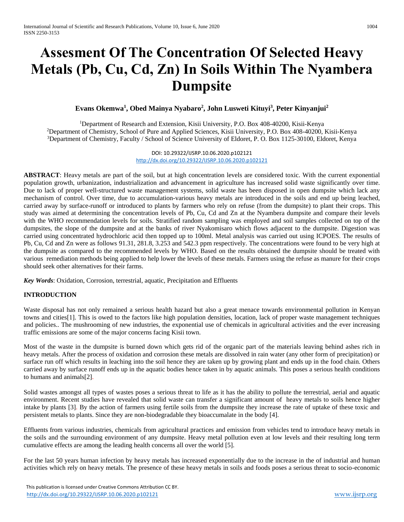# **Assesment Of The Concentration Of Selected Heavy Metals (Pb, Cu, Cd, Zn) In Soils Within The Nyambera Dumpsite**

## **Evans Okemwa<sup>1</sup> , Obed Mainya Nyabaro<sup>2</sup> , John Lusweti Kituyi<sup>3</sup> , Peter Kinyanjui<sup>2</sup>**

<sup>1</sup>Department of Research and Extension, Kisii University, P.O. Box 408-40200, Kisii-Kenya <sup>2</sup>Department of Chemistry, School of Pure and Applied Sciences, Kisii University, P.O. Box 408-40200, Kisii-Kenya <sup>3</sup>Department of Chemistry, Faculty / School of Science University of Eldoret, P. O. Box 1125-30100, Eldoret, Kenya

> DOI: 10.29322/IJSRP.10.06.2020.p102121 <http://dx.doi.org/10.29322/IJSRP.10.06.2020.p102121>

**ABSTRACT**: Heavy metals are part of the soil, but at high concentration levels are considered toxic. With the current exponential population growth, urbanization, industrialization and advancement in agriculture has increased solid waste significantly over time. Due to lack of proper well-structured waste management systems, solid waste has been disposed in open dumpsite which lack any mechanism of control. Over time, due to accumulation-various heavy metals are introduced in the soils and end up being leached, carried away by surface-runoff or introduced to plants by farmers who rely on refuse (from the dumpsite) to plant their crops. This study was aimed at determining the concentration levels of Pb, Cu, Cd and Zn at the Nyambera dumpsite and compare their levels with the WHO recommendation levels for soils. Stratified random sampling was employed and soil samples collected on top of the dumpsites, the slope of the dumpsite and at the banks of river Nyakomisaro which flows adjacent to the dumpsite. Digestion was carried using concentrated hydrochloric acid then topped up to 100ml. Metal analysis was carried out using ICPOES. The results of Pb, Cu, Cd and Zn were as follows 91.31, 281.8, 3.253 and 542.3 ppm respectively. The concentrations were found to be very high at the dumpsite as compared to the recommended levels by WHO. Based on the results obtained the dumpsite should be treated with various remediation methods being applied to help lower the levels of these metals. Farmers using the refuse as manure for their crops should seek other alternatives for their farms.

*Key Words*: Oxidation, Corrosion, terrestrial, aquatic, Precipitation and Effluents

#### **INTRODUCTION**

Waste disposal has not only remained a serious health hazard but also a great menace towards environmental pollution in Kenyan towns and cities[1]. This is owed to the factors like high population densities, location, lack of proper waste management techniques and policies.. The mushrooming of new industries, the exponential use of chemicals in agricultural activities and the ever increasing traffic emissions are some of the major concerns facing Kisii town.

Most of the waste in the dumpsite is burned down which gets rid of the organic part of the materials leaving behind ashes rich in heavy metals. After the process of oxidation and corrosion these metals are dissolved in rain water (any other form of precipitation) or surface run off which results in leaching into the soil hence they are taken up by growing plant and ends up in the food chain. Others carried away by surface runoff ends up in the aquatic bodies hence taken in by aquatic animals. This poses a serious health conditions to humans and animals[2].

Solid wastes amongst all types of wastes poses a serious threat to life as it has the ability to pollute the terrestrial, aerial and aquatic environment. Recent studies have revealed that solid waste can transfer a significant amount of heavy metals to soils hence higher intake by plants [3]. By the action of farmers using fertile soils from the dumpsite they increase the rate of uptake of these toxic and persistent metals to plants. Since they are non-biodegradable they bioaccumalate in the body [4].

Effluents from various industries, chemicals from agricultural practices and emission from vehicles tend to introduce heavy metals in the soils and the surrounding environment of any dumpsite. Heavy metal pollution even at low levels and their resulting long term cumulative effects are among the leading health concerns all over the world [5].

For the last 50 years human infection by heavy metals has increased exponentially due to the increase in the of industrial and human activities which rely on heavy metals. The presence of these heavy metals in soils and foods poses a serious threat to socio-economic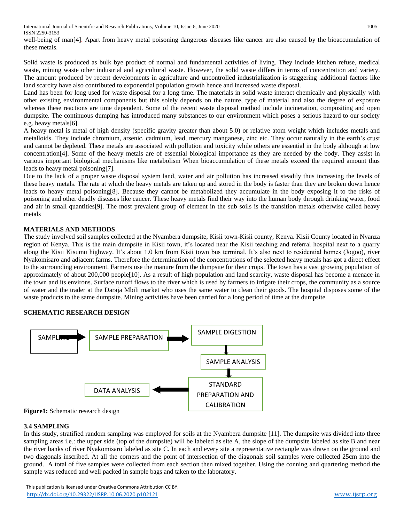International Journal of Scientific and Research Publications, Volume 10, Issue 6, June 2020 1005 ISSN 2250-3153

well-being of man[4]. Apart from heavy metal poisoning dangerous diseases like cancer are also caused by the bioaccumulation of these metals.

Solid waste is produced as bulk bye product of normal and fundamental activities of living. They include kitchen refuse, medical waste, mining waste other industrial and agricultural waste. However, the solid waste differs in terms of concentration and variety. The amount produced by recent developments in agriculture and uncontrolled industrialization is staggering .additional factors like land scarcity have also contributed to exponential population growth hence and increased waste disposal.

Land has been for long used for waste disposal for a long time. The materials in solid waste interact chemically and physically with other existing environmental components but this solely depends on the nature, type of material and also the degree of exposure whereas these reactions are time dependent. Some of the recent waste disposal method include incineration, compositing and open dumpsite. The continuous dumping has introduced many substances to our environment which poses a serious hazard to our society e.g. heavy metals[6].

A heavy metal is metal of high density (specific gravity greater than about 5.0) or relative atom weight which includes metals and metalloids. They include chromium, arsenic, cadmium, lead, mercury manganese, zinc etc. They occur naturally in the earth's crust and cannot be depleted. These metals are associated with pollution and toxicity while others are essential in the body although at low concentration[4]. Some of the heavy metals are of essential biological importance as they are needed by the body. They assist in various important biological mechanisms like metabolism When bioaccumulation of these metals exceed the required amount thus leads to heavy metal poisoning[7].

Due to the lack of a proper waste disposal system land, water and air pollution has increased steadily thus increasing the levels of these heavy metals. The rate at which the heavy metals are taken up and stored in the body is faster than they are broken down hence leads to heavy metal poisoning[8]. Because they cannot be metabolized they accumulate in the body exposing it to the risks of poisoning and other deadly diseases like cancer. These heavy metals find their way into the human body through drinking water, food and air in small quantities [9]. The most prevalent group of element in the sub soils is the transition metals otherwise called heavy metals

### **MATERIALS AND METHODS**

The study involved soil samples collected at the Nyambera dumpsite, Kisii town-Kisii county, Kenya. Kisii County located in Nyanza region of Kenya. This is the main dumpsite in Kisii town, it's located near the Kisii teaching and referral hospital next to a quarry along the Kisii Kisumu highway. It's about 1.0 km from Kisii town bus terminal. It's also next to residential homes (Jogoo), river Nyakomisaro and adjacent farms. Therefore the determination of the concentrations of the selected heavy metals has got a direct effect to the surrounding environment. Farmers use the manure from the dumpsite for their crops. The town has a vast growing population of approximately of about 200,000 people[10]. As a result of high population and land scarcity, waste disposal has become a menace in the town and its environs. Surface runoff flows to the river which is used by farmers to irrigate their crops, the community as a source of water and the trader at the Daraja Mbili market who uses the same water to clean their goods. The hospital disposes some of the waste products to the same dumpsite. Mining activities have been carried for a long period of time at the dumpsite.

### **SCHEMATIC RESEARCH DESIGN**



**Figure1:** Schematic research design

### **3.4 SAMPLING**

In this study, stratified random sampling was employed for soils at the Nyambera dumpsite [11]. The dumpsite was divided into three sampling areas i.e.: the upper side (top of the dumpsite) will be labeled as site A, the slope of the dumpsite labeled as site B and near the river banks of river Nyakomisaro labeled as site C. In each and every site a representative rectangle was drawn on the ground and two diagonals inscribed. At all the corners and the point of intersection of the diagonals soil samples were collected 25cm into the ground. A total of five samples were collected from each section then mixed together. Using the conning and quartering method the sample was reduced and well packed in sample bags and taken to the laboratory.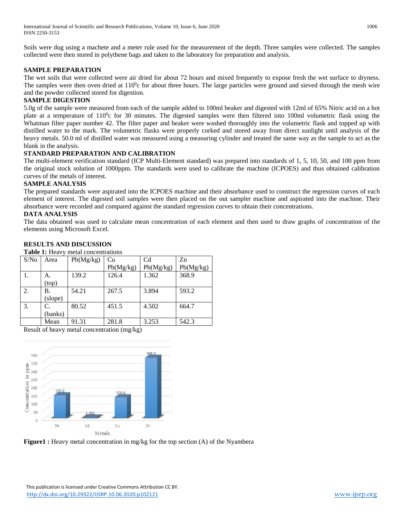Soils were dug using a machete and a meter rule used for the measurement of the depth. Three samples were collected. The samples collected were then stored in polythene bags and taken to the laboratory for preparation and analysis.

## **SAMPLE PREPARATION**

The wet soils that were collected were air dried for about 72 hours and mixed frequently to expose fresh the wet surface to dryness. The samples were then oven dried at  $110^{\circ}$ c for about three hours. The large particles were ground and sieved through the mesh wire and the powder collected stored for digestion.

### **SAMPLE DIGESTION**

5.0g of the sample were measured from each of the sample added to 100ml beaker and digested with 12ml of 65% Nitric acid on a hot plate at a temperature of 110<sup>0</sup>c for 30 minutes. The digested samples were then filtered into 100ml volumetric flask using the Whatman filter paper number 42. The filter paper and beaker were washed thoroughly into the volumetric flask and topped up with distilled water to the mark. The volumetric flasks were properly corked and stored away from direct sunlight until analysis of the heavy metals. 50.0 ml of distilled water was measured using a measuring cylinder and treated the same way as the sample to act as the blank in the analysis.

### **STANDARD PREPARATION AND CALIBRATION**

The multi-element verification standard (ICP Multi-Element standard) was prepared into standards of 1, 5, 10, 50, and 100 ppm from the original stock solution of 1000ppm. The standards were used to calibrate the machine (ICPOES) and thus obtained calibration curves of the metals of interest.

### **SAMPLE ANALYSIS**

The prepared standards were aspirated into the ICPOES machine and their absorbance used to construct the regression curves of each element of interest. The digested soil samples were then placed on the out sampler machine and aspirated into the machine. Their absorbance were recorded and compared against the standard regression curves to obtain their concentrations.

### **DATA ANALYSIS**

The data obtained was used to calculate mean concentration of each element and then used to draw graphs of concentration of the elements using Microsoft Excel.

# **RESULTS AND DISCUSSION**

**Table 1:** Heavy metal concentrations

| S/No | Area    | Pb(Mg/kg) | Cu        | C <sub>d</sub> | Zn        |
|------|---------|-----------|-----------|----------------|-----------|
|      |         |           | Pb(Mg/kg) | Pb(Mg/kg)      | Pb(Mg/kg) |
| 1.   | A.      | 139.2     | 126.4     | 1.362          | 368.9     |
|      | (top)   |           |           |                |           |
| 2.   | B.      | 54.21     | 267.5     | 3.894          | 593.2     |
|      | (slope) |           |           |                |           |
| 3.   | C.      | 80.52     | 451.5     | 4.502          | 664.7     |
|      | (banks) |           |           |                |           |
|      | Mean    | 91.31     | 281.8     | 3.253          | 542.3     |

Result of heavy metal concentration (mg/kg)



**Figure1 :** Heavy metal concentration in mg/kg for the top section (A) of the Nyambera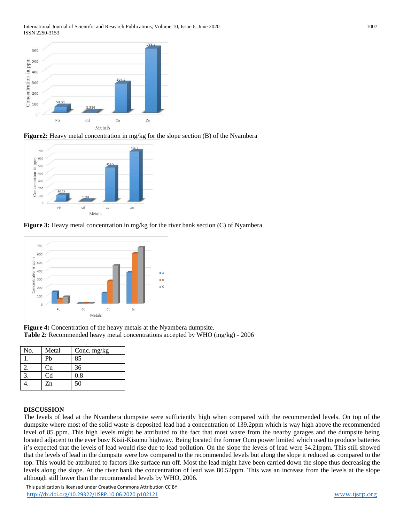





**Figure 3:** Heavy metal concentration in mg/kg for the river bank section (C) of Nyambera



**Figure 4:** Concentration of the heavy metals at the Nyambera dumpsite. **Table 2:** Recommended heavy metal concentrations accepted by WHO (mg/kg) - 2006

| No. | Metal | Conc. $mg/kg$ |
|-----|-------|---------------|
|     | Pb    | 85            |
|     | Cu    | 36            |
|     | Cd    | 0.8           |
| ÷.  | Zn    | 50            |

### **DISCUSSION**

The levels of lead at the Nyambera dumpsite were sufficiently high when compared with the recommended levels. On top of the dumpsite where most of the solid waste is deposited lead had a concentration of 139.2ppm which is way high above the recommended level of 85 ppm. This high levels might be attributed to the fact that most waste from the nearby garages and the dumpsite being located adjacent to the ever busy Kisii-Kisumu highway. Being located the former Ouru power limited which used to produce batteries it's expected that the levels of lead would rise due to lead pollution. On the slope the levels of lead were 54.21ppm. This still showed that the levels of lead in the dumpsite were low compared to the recommended levels but along the slope it reduced as compared to the top. This would be attributed to factors like surface run off. Most the lead might have been carried down the slope thus decreasing the levels along the slope. At the river bank the concentration of lead was 80.52ppm. This was an increase from the levels at the slope although still lower than the recommended levels by WHO, 2006.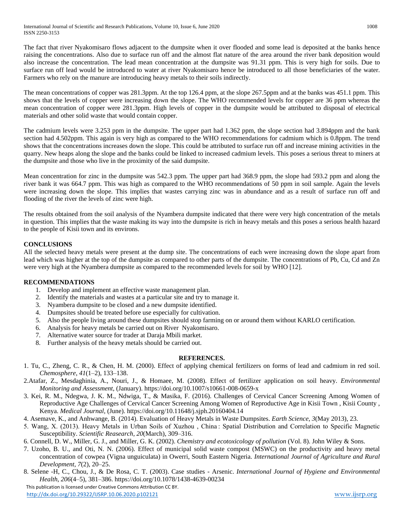International Journal of Scientific and Research Publications, Volume 10, Issue 6, June 2020 1008 1008 ISSN 2250-3153

The fact that river Nyakomisaro flows adjacent to the dumpsite when it over flooded and some lead is deposited at the banks hence raising the concentrations. Also due to surface run off and the almost flat nature of the area around the river bank deposition would also increase the concentration. The lead mean concentration at the dumpsite was 91.31 ppm. This is very high for soils. Due to surface run off lead would be introduced to water at river Nyakomisaro hence be introduced to all those beneficiaries of the water. Farmers who rely on the manure are introducing heavy metals to their soils indirectly.

The mean concentrations of copper was 281.3ppm. At the top 126.4 ppm, at the slope 267.5ppm and at the banks was 451.1 ppm. This shows that the levels of copper were increasing down the slope. The WHO recommended levels for copper are 36 ppm whereas the mean concentration of copper were 281.3ppm. High levels of copper in the dumpsite would be attributed to disposal of electrical materials and other solid waste that would contain copper.

The cadmium levels were 3.253 ppm in the dumpsite. The upper part had 1.362 ppm, the slope section had 3.894ppm and the bank section had 4.502ppm. This again is very high as compared to the WHO recommendations for cadmium which is 0.8ppm. The trend shows that the concentrations increases down the slope. This could be attributed to surface run off and increase mining activities in the quarry. New heaps along the slope and the banks could be linked to increased cadmium levels. This poses a serious threat to miners at the dumpsite and those who live in the proximity of the said dumpsite.

Mean concentration for zinc in the dumpsite was 542.3 ppm. The upper part had 368.9 ppm, the slope had 593.2 ppm and along the river bank it was 664.7 ppm. This was high as compared to the WHO recommendations of 50 ppm in soil sample. Again the levels were increasing down the slope. This implies that wastes carrying zinc was in abundance and as a result of surface run off and flooding of the river the levels of zinc were high.

The results obtained from the soil analysis of the Nyambera dumpsite indicated that there were very high concentration of the metals in question. This implies that the waste making its way into the dumpsite is rich in heavy metals and this poses a serious health hazard to the people of Kisii town and its environs.

## **CONCLUSIONS**

All the selected heavy metals were present at the dump site. The concentrations of each were increasing down the slope apart from lead which was higher at the top of the dumpsite as compared to other parts of the dumpsite. The concentrations of Pb, Cu, Cd and Zn were very high at the Nyambera dumpsite as compared to the recommended levels for soil by WHO [12].

## **RECOMMENDATIONS**

- 1. Develop and implement an effective waste management plan.
- 2. Identify the materials and wastes at a particular site and try to manage it.
- 3. Nyambera dumpsite to be closed and a new dumpsite identified.
- 4. Dumpsites should be treated before use especially for cultivation.
- 5. Also the people living around these dumpsites should stop farming on or around them without KARLO certification.
- 6. Analysis for heavy metals be carried out on River Nyakomisaro.
- 7. Alternative water source for trader at Daraja Mbili market.
- 8. Further analysis of the heavy metals should be carried out.

#### **REFERENCES.**

- 1. Tu, C., Zheng, C. R., & Chen, H. M. (2000). Effect of applying chemical fertilizers on forms of lead and cadmium in red soil. *Chemosphere*, *41*(1–2), 133–138.
- 2.Atafar, Z., Mesdaghinia, A., Nouri, J., & Homaee, M. (2008). Effect of fertilizer application on soil heavy. *Environmental Monitoring and Assessment*, (January). https://doi.org/10.1007/s10661-008-0659-x
- 3. Kei, R. M., Ndegwa, J. K. M., Ndwiga, T., & Masika, F. (2016). Challenges of Cervical Cancer Screening Among Women of Reproductive Age Challenges of Cervical Cancer Screening Among Women of Reproductive Age in Kisii Town , Kisii County , Kenya. *Medical Journal*, (June). https://doi.org/10.11648/j.sjph.20160404.14
- 4. Asemave, K., and Anhwange, B. (2014). Evaluation of Heavy Metals in Waste Dumpsites. *Earth Science*, *3*(May 2013), 23.
- 5. Wang, X. (2013). Heavy Metals in Urban Soils of Xuzhou , China : Spatial Distribution and Correlation to Specific Magnetic Susceptibility. *Scientific Reasearch*, *20*(March), 309–316.
- 6. Connell, D. W., Miller, G. J., and Miller, G. K. (2002). *Chemistry and ecotoxicology of pollution* (Vol. 8). John Wiley & Sons.
- 7. Uzoho, B. U., and Oti, N. N. (2006). Effect of municipal solid waste compost (MSWC) on the productivity and heavy metal concentration of cowpea (Vigna unguiculata) in Owerri, South Eastern Nigeria. *International Journal of Agriculture and Rural Development*, *7*(2), 20–25.
- 8. Selene -H, C., Chou, J., & De Rosa, C. T. (2003). Case studies Arsenic. *International Journal of Hygiene and Environmental Health*, *206*(4–5), 381–386. https://doi.org/10.1078/1438-4639-00234

 This publication is licensed under Creative Commons Attribution CC BY. <http://dx.doi.org/10.29322/IJSRP.10.06.2020.p102121> [www.ijsrp.org](http://ijsrp.org/)